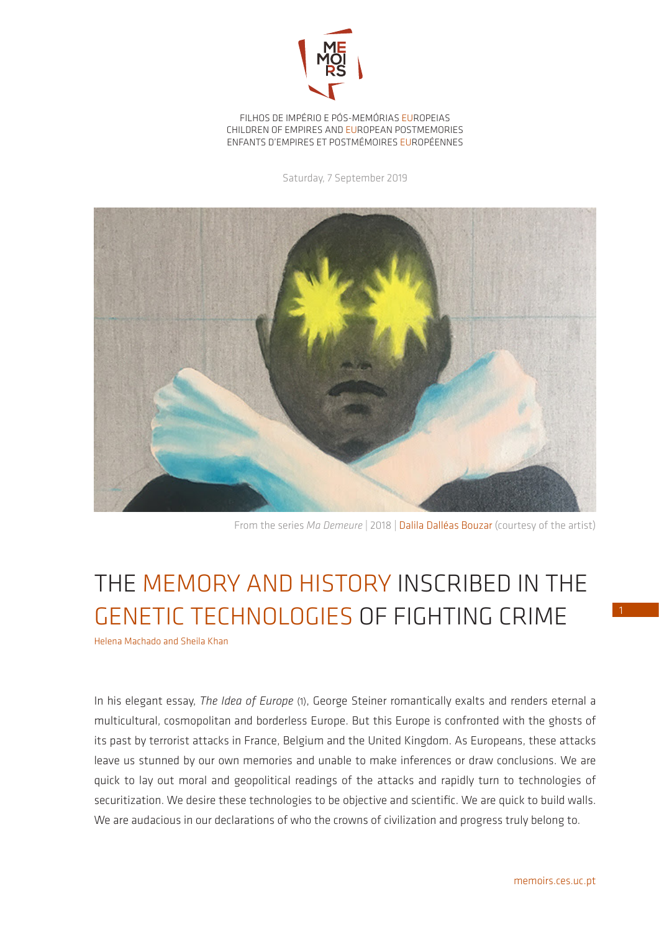

FILHOS DE IMPÉRIO E PÓS-MEMÓRIAS EUROPEIAS CHILDREN OF EMPIRES AND EUROPEAN POSTMEMORIES ENFANTS D'EMPIRES ET POSTMÉMOIRES EUROPÉENNES

Saturday, 7 September 2019



From the series *Ma Demeure* | 2018 | Dalila Dalléas Bouzar (courtesy of the artist)

## THE MEMORY AND HISTORY INSCRIBED IN THE GENETIC TECHNOLOGIES OF FIGHTING CRIME

Helena Machado and Sheila Khan

In his elegant essay, *The Idea of Europe* (1), George Steiner romantically exalts and renders eternal a multicultural, cosmopolitan and borderless Europe. But this Europe is confronted with the ghosts of its past by terrorist attacks in France, Belgium and the United Kingdom. As Europeans, these attacks leave us stunned by our own memories and unable to make inferences or draw conclusions. We are quick to lay out moral and geopolitical readings of the attacks and rapidly turn to technologies of securitization. We desire these technologies to be objective and scientific. We are quick to build walls. We are audacious in our declarations of who the crowns of civilization and progress truly belong to.

1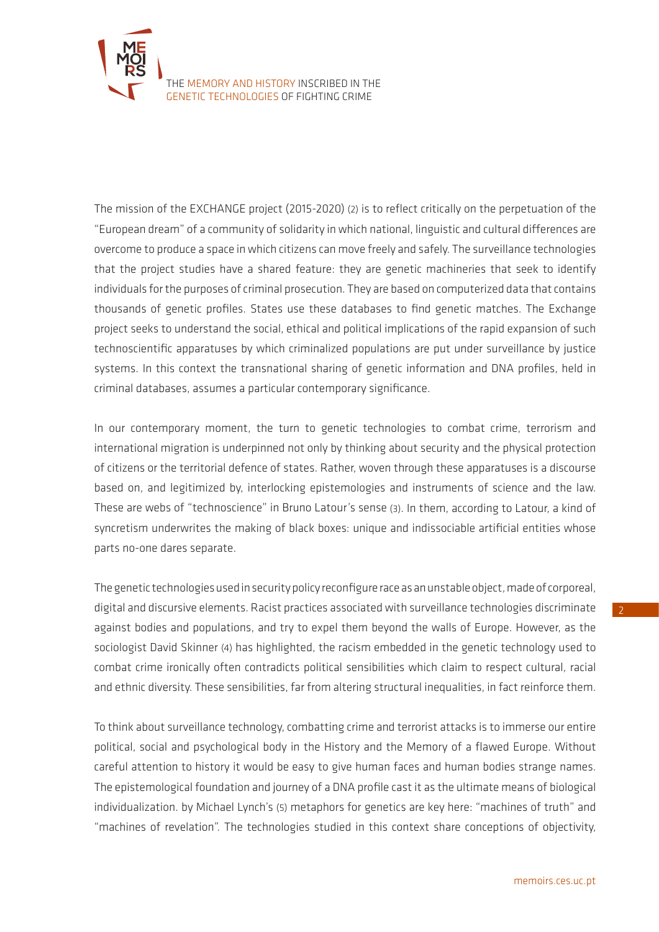

The mission of the EXCHANGE project (2015-2020) (2) is to reflect critically on the perpetuation of the "European dream" of a community of solidarity in which national, linguistic and cultural differences are overcome to produce a space in which citizens can move freely and safely. The surveillance technologies that the project studies have a shared feature: they are genetic machineries that seek to identify individuals for the purposes of criminal prosecution. They are based on computerized data that contains thousands of genetic profiles. States use these databases to find genetic matches. The Exchange project seeks to understand the social, ethical and political implications of the rapid expansion of such technoscientific apparatuses by which criminalized populations are put under surveillance by justice systems. In this context the transnational sharing of genetic information and DNA profiles, held in criminal databases, assumes a particular contemporary significance.

In our contemporary moment, the turn to genetic technologies to combat crime, terrorism and international migration is underpinned not only by thinking about security and the physical protection of citizens or the territorial defence of states. Rather, woven through these apparatuses is a discourse based on, and legitimized by, interlocking epistemologies and instruments of science and the law. These are webs of "technoscience" in Bruno Latour's sense (3). In them, according to Latour, a kind of syncretism underwrites the making of black boxes: unique and indissociable artificial entities whose parts no-one dares separate.

The genetic technologies used in security policy reconfigure race as an unstable object, made of corporeal, digital and discursive elements. Racist practices associated with surveillance technologies discriminate against bodies and populations, and try to expel them beyond the walls of Europe. However, as the sociologist David Skinner (4) has highlighted, the racism embedded in the genetic technology used to combat crime ironically often contradicts political sensibilities which claim to respect cultural, racial and ethnic diversity. These sensibilities, far from altering structural inequalities, in fact reinforce them.

To think about surveillance technology, combatting crime and terrorist attacks is to immerse our entire political, social and psychological body in the History and the Memory of a flawed Europe. Without careful attention to history it would be easy to give human faces and human bodies strange names. The epistemological foundation and journey of a DNA profile cast it as the ultimate means of biological individualization. by Michael Lynch's (5) metaphors for genetics are key here: "machines of truth" and "machines of revelation". The technologies studied in this context share conceptions of objectivity,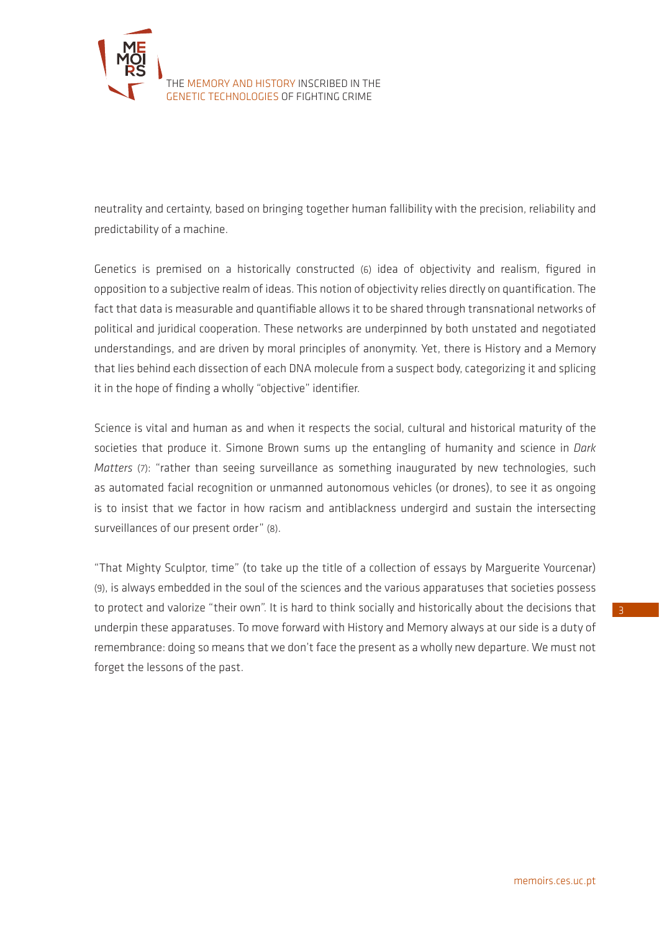

neutrality and certainty, based on bringing together human fallibility with the precision, reliability and predictability of a machine.

Genetics is premised on a historically constructed (6) idea of objectivity and realism, figured in opposition to a subjective realm of ideas. This notion of objectivity relies directly on quantification. The fact that data is measurable and quantifiable allows it to be shared through transnational networks of political and juridical cooperation. These networks are underpinned by both unstated and negotiated understandings, and are driven by moral principles of anonymity. Yet, there is History and a Memory that lies behind each dissection of each DNA molecule from a suspect body, categorizing it and splicing it in the hope of finding a wholly "objective" identifier.

Science is vital and human as and when it respects the social, cultural and historical maturity of the societies that produce it. Simone Brown sums up the entangling of humanity and science in *Dark Matters* (7): "rather than seeing surveillance as something inaugurated by new technologies, such as automated facial recognition or unmanned autonomous vehicles (or drones), to see it as ongoing is to insist that we factor in how racism and antiblackness undergird and sustain the intersecting surveillances of our present order" (8).

"That Mighty Sculptor, time" (to take up the title of a collection of essays by Marguerite Yourcenar) (9), is always embedded in the soul of the sciences and the various apparatuses that societies possess to protect and valorize "their own". It is hard to think socially and historically about the decisions that underpin these apparatuses. To move forward with History and Memory always at our side is a duty of remembrance: doing so means that we don't face the present as a wholly new departure. We must not forget the lessons of the past.